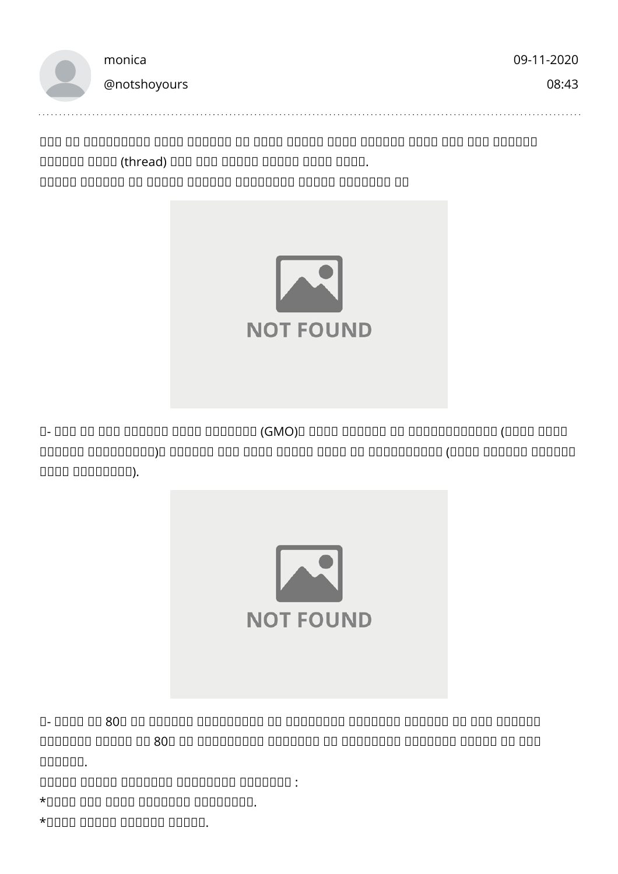

000000 0000 (thread) 000 000 00000 00000 0000 0000. 



a- ada ao ada adaada adaa adaadaa (GMO)a adaa adaadaa aa adaadaadaaaa (adaa adaa nnnn nnnnnnnnn).



 $\Box \Box \Box \Box \Box \Box$ 

00000 00000 0000000 00000000 0000000 :

 $*$ 0000 000 0000 0000000 00000000.

\*0000 00000 000000 00000.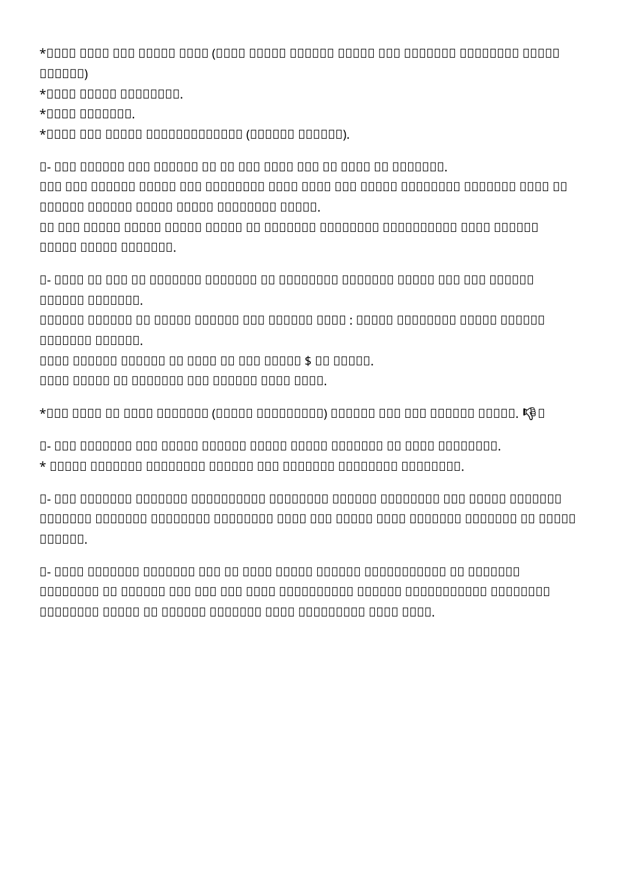$000000$ 

\*0000 00000 00000000.

 $\star$ nnnn nnnnnn

an ang anggo agang pagan agang ng agangan pagangan agangang agan anggon nnnnn nnnnn nnnnnnn.

000000 0000000.

0000000 000000.

anna annan an annanan ann annana anna anna.

000000.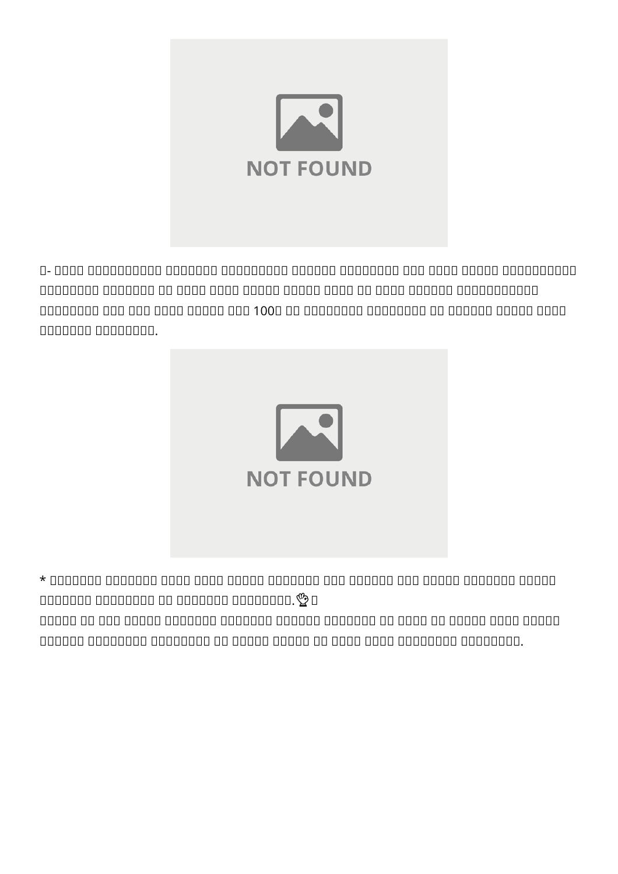

0000000 00000000.

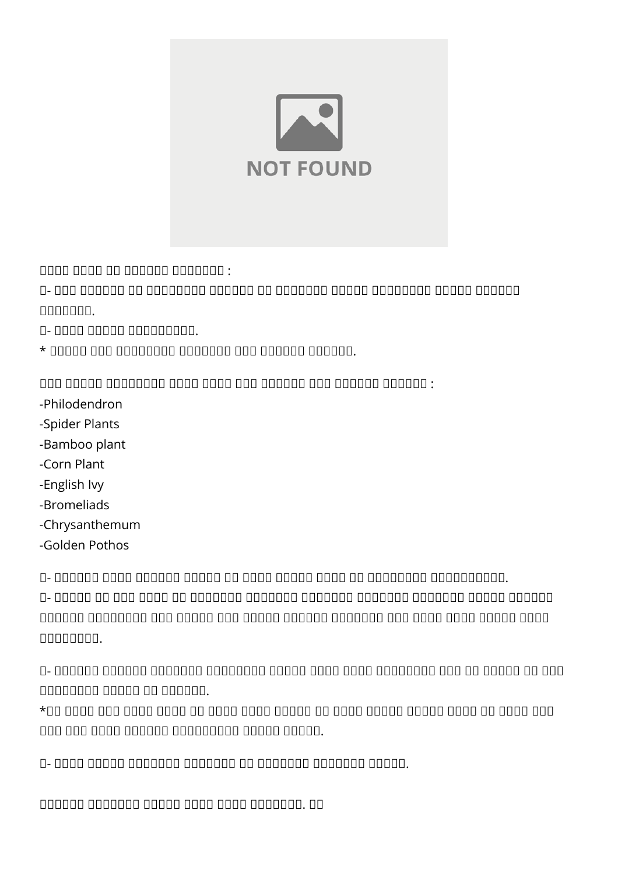

nnnn nnnn nn nnnnnn nnnnnnn :

nnnnnnn.

0- 0000 00000 000000000.

ang agaan pagagaan agaa agaa aga agagaa aga agagaa agagaa :

- -Philodendron
- -Spider Plants
- -Bamboo plant
- -Corn Plant
- -English Ivy
- -Bromeliads
- -Chrysanthemum
- -Golden Pothos

00000000 00000 00 000000.

n- nana anana nananan nananan na nananan nananan nanan.

<u>nnnnnn nnnnnnn nnnnn nnnn nnnnnnnn. nn</u>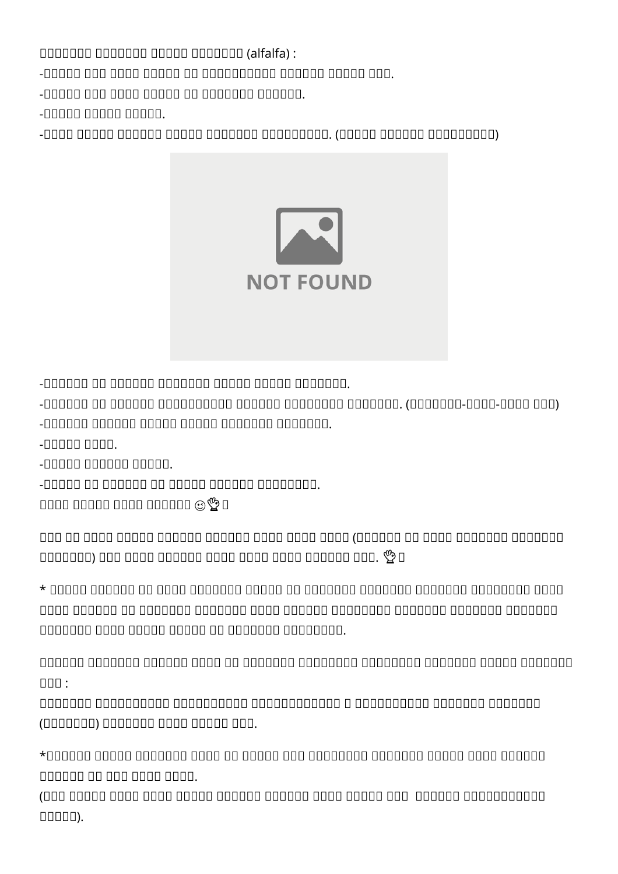-00000 000 0000 00000 00 0000000 000000. -DOOD DOOD DOOD.



 $-0000000000$ 

 $\Box \Box \Box \Box$ 

ס שים המספט מספר המספט מספס מספט מספט מספט מספט מספ

tonana ana any any amin'ny taona ao amin'ny faritr'i Normandie, ao amin'ny faritr'i Normandie, ao amin'ny fari anao anaona ao anaonana anaona anao anaona anaonana anaonana anaona anaona 

 $DDD:$ 

(0000000) 0000000 0000 00000 000.

to cool and a cool and a cool and and a cool and a cool and a cool and a cool and a cool to the start. A nnnnnn nn nnn nnnn nnnn.

 $\Box$  $\Box$  $\Box$  $\Box$  $\Box$ ).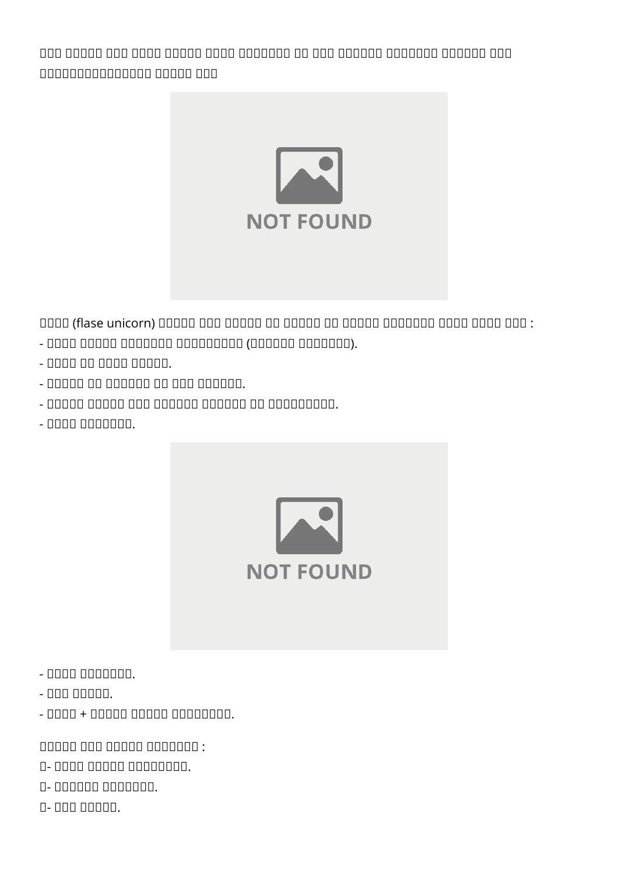000000000000000 00000 000



- 
- 
- 
- 
- $-00000000000.$



 $-000000000000.$ 

 $-00000000$ 

 $-$  0000  $+$  00000 00000 00000000.

00000 000 00000 0000000 :

- 0- 0000 00000 00000000.
- 0- 000000 0000000.
- 0- 000 00000.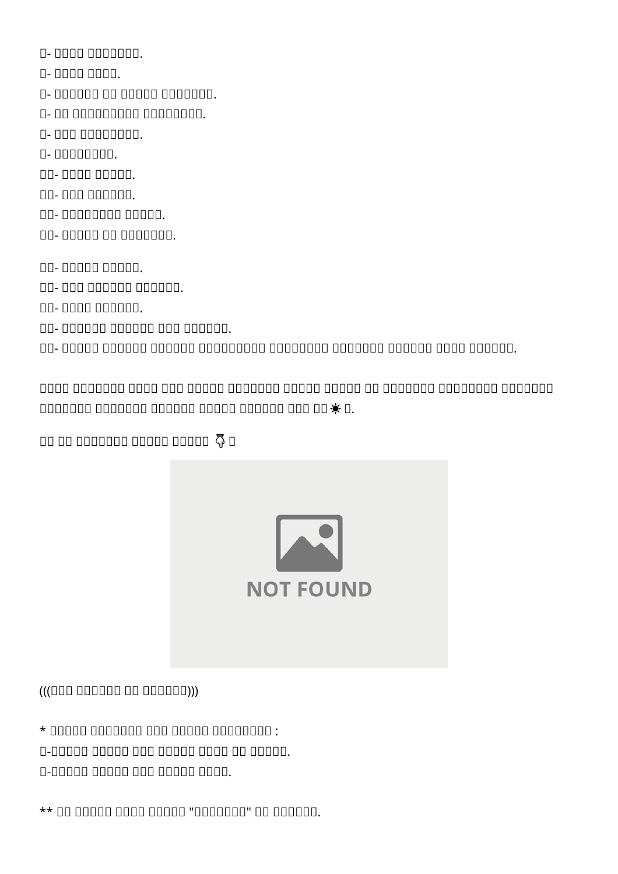0- 0000 0000000.

- 0- 0000 0000.
- 0- 000000 00 00000 0000000.
- n- nn nnnnnnnnn nnnnnnnn.
- 
- n-nnnnnnnn.
- 00-0000 00000.
- 00-000 000000.
- 00- 00000000 00000.
- 00-00000 00 0000000.
- 00-00000 00000.
- 00- 000 000000 000000.
- 00-0000 000000.
- 00- 000000 000000 000 000000.
- 

0000000 0000000 000000 00000 000000 000 00  $*$ 0.

 $\overline{a}$  and an about a contract  $\overline{a}$  and  $\overline{a}$  and a contract  $\overline{a}$  and a contract  $\overline{a}$  and  $\overline{a}$  and  $\overline{a}$  and  $\overline{a}$  and  $\overline{a}$  and  $\overline{a}$  and  $\overline{a}$  and  $\overline{a}$  and  $\overline{a}$  and  $\overline{a}$  a



 $((1000 00000 00 000000)))$ 

 $\star$  00000 0000000 000 00000 00000 0000000  $\cdot$ n-nanna nanna nan nanna nann na nanna. 0-00000 00000 000 00000 0000.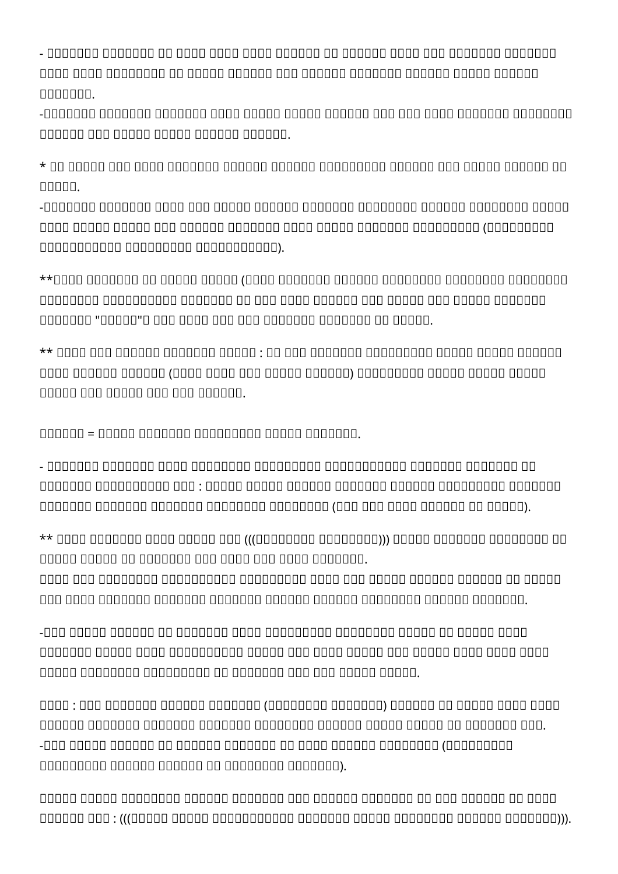0000000.

annang ang angga nagan ang anggang ang

**NOOOO.** 

androna androna anda ang ang ang anggan anggang anggang anggang anggang anggan-00000000000 000000000 00000000000).

annan ann annan ann ann annan a

ang agaa agaagaa agaagaa gagagaa gagagaa gagagagaa gagagaa gagagaa.

and and an and an adoption of a concept and an annual and an and an and an and an annual and an an a andadaa aadaa aada aadaadadaa aadaa aada aadaa aada aadaa aada aada aada aada aada aada aada aada aada aada aa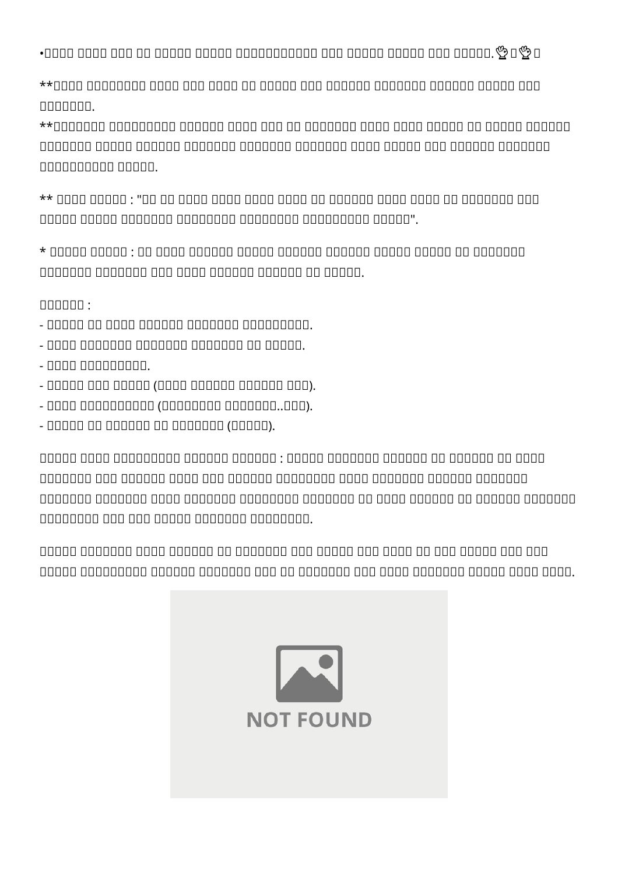0000000.

anggaga agaan agaana agaanaa agaanaa agaanaa agaa agaan agaana agaanaa ay aan ay aan ay aan ay aan ay aan ay a nnnnnnnnnn nnnnn.

 $\Box \Box \Box \Box \Box \Box \; :$ 

- 
- 0000 0000000 0000000 0000000 00 00000.
- $-00000000000000$
- 00000 000 00000 (0000 000000 000000 000).
- 0000 0000000000 (00000000 0000000..000).
- 00000 00 000000 00 0000000 (00000).

annonana ana ana anana ananana anananan.

angoo agaagaa agaa agaaga ag gagaaga aga gagaa aga gaga aga gagaa aga aga